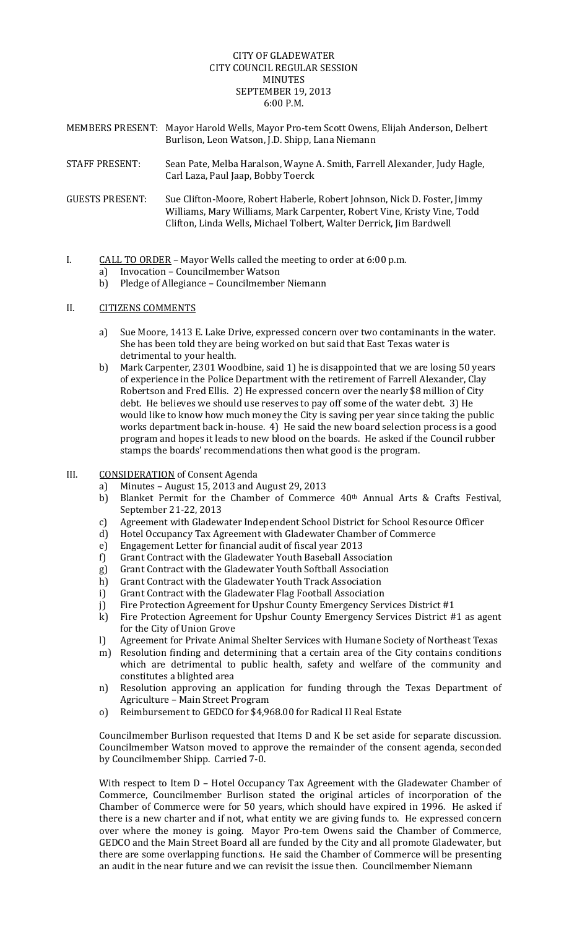# CITY OF GLADEWATER CITY COUNCIL REGULAR SESSION MINUTES **SEPTEMBER 19, 2013**  $6:00 \text{ P.M.}$

- MEMBERS PRESENT: Mayor Harold Wells, Mayor Pro-tem Scott Owens, Elijah Anderson, Delbert Burlison, Leon Watson, J.D. Shipp, Lana Niemann
- STAFF PRESENT: Sean Pate, Melba Haralson, Wayne A. Smith, Farrell Alexander, Judy Hagle, Carl Laza, Paul Jaap, Bobby Toerck
- GUESTS PRESENT: Sue Clifton-Moore, Robert Haberle, Robert Johnson, Nick D. Foster, Jimmy Williams, Mary Williams, Mark Carpenter, Robert Vine, Kristy Vine, Todd Clifton, Linda Wells, Michael Tolbert, Walter Derrick, Jim Bardwell
- I.  $CALL TO ORDER Mayor Wells called the meeting to order at  $6:00 \text{ p.m.}$$ 
	- a) Invocation Councilmember Watson
	- b) Pledge of Allegiance Councilmember Niemann

### II. **CITIZENS COMMENTS**

- a) Sue Moore, 1413 E. Lake Drive, expressed concern over two contaminants in the water. She has been told they are being worked on but said that East Texas water is detrimental to your health.
- b) Mark Carpenter, 2301 Woodbine, said 1) he is disappointed that we are losing 50 years of experience in the Police Department with the retirement of Farrell Alexander, Clay Robertson and Fred Ellis. 2) He expressed concern over the nearly \$8 million of City debt. He believes we should use reserves to pay off some of the water debt. 3) He would like to know how much money the City is saving per year since taking the public works department back in-house.  $4$ ) He said the new board selection process is a good program and hopes it leads to new blood on the boards. He asked if the Council rubber stamps the boards' recommendations then what good is the program.
- III. CONSIDERATION of Consent Agenda
	- a) Minutes August 15, 2013 and August 29, 2013
	- b) Blanket Permit for the Chamber of Commerce 40<sup>th</sup> Annual Arts & Crafts Festival, September 21-22, 2013
	- c) Agreement with Gladewater Independent School District for School Resource Officer
	- d) Hotel Occupancy Tax Agreement with Gladewater Chamber of Commerce
	- e) Engagement Letter for financial audit of fiscal year 2013
	- f) Grant Contract with the Gladewater Youth Baseball Association
	- g) Grant Contract with the Gladewater Youth Softball Association
	- h) Grant Contract with the Gladewater Youth Track Association
	- i) Grant Contract with the Gladewater Flag Football Association
	- j) Fire Protection Agreement for Upshur County Emergency Services District #1
	- k) Fire Protection Agreement for Upshur County Emergency Services District #1 as agent for the City of Union Grove
	- l) Agreement for Private Animal Shelter Services with Humane Society of Northeast Texas
	- m) Resolution finding and determining that a certain area of the City contains conditions which are detrimental to public health, safety and welfare of the community and constitutes a blighted area
	- n) Resolution approving an application for funding through the Texas Department of Agriculture - Main Street Program
	- o) Reimbursement to GEDCO for \$4,968.00 for Radical II Real Estate

Councilmember Burlison requested that Items D and K be set aside for separate discussion. Councilmember Watson moved to approve the remainder of the consent agenda, seconded by Councilmember Shipp. Carried 7-0.

With respect to Item  $D$  – Hotel Occupancy Tax Agreement with the Gladewater Chamber of Commerce, Councilmember Burlison stated the original articles of incorporation of the Chamber of Commerce were for 50 years, which should have expired in 1996. He asked if there is a new charter and if not, what entity we are giving funds to. He expressed concern over where the money is going. Mayor Pro-tem Owens said the Chamber of Commerce, GEDCO and the Main Street Board all are funded by the City and all promote Gladewater, but there are some overlapping functions. He said the Chamber of Commerce will be presenting an audit in the near future and we can revisit the issue then. Councilmember Niemann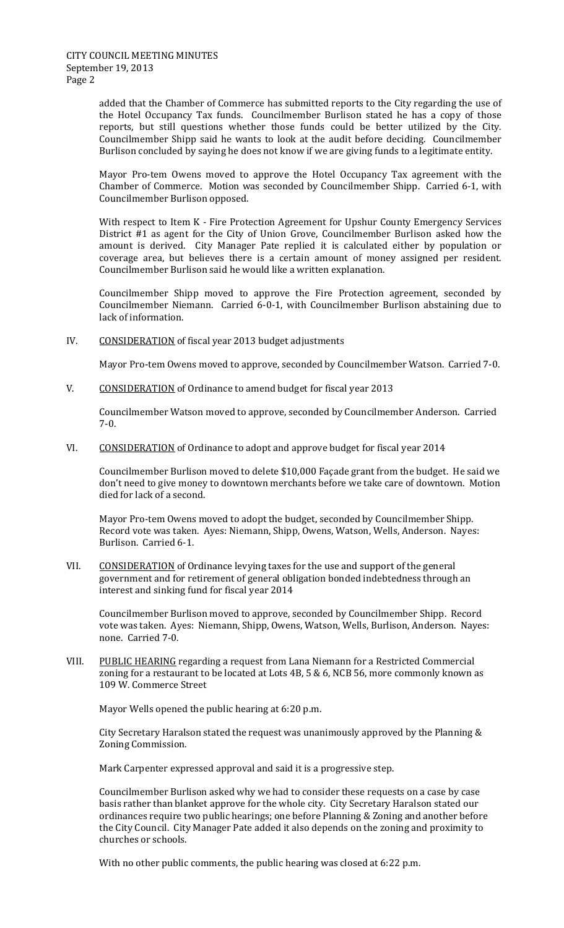added that the Chamber of Commerce has submitted reports to the City regarding the use of the Hotel Occupancy Tax funds. Councilmember Burlison stated he has a copy of those reports, but still questions whether those funds could be better utilized by the City. Councilmember Shipp said he wants to look at the audit before deciding. Councilmember Burlison concluded by saying he does not know if we are giving funds to a legitimate entity.

Mayor Pro-tem Owens moved to approve the Hotel Occupancy Tax agreement with the Chamber of Commerce. Motion was seconded by Councilmember Shipp. Carried 6-1, with Councilmember Burlison opposed.

With respect to Item K - Fire Protection Agreement for Upshur County Emergency Services District #1 as agent for the City of Union Grove, Councilmember Burlison asked how the amount is derived. City Manager Pate replied it is calculated either by population or coverage area, but believes there is a certain amount of money assigned per resident. Councilmember Burlison said he would like a written explanation.

Councilmember Shipp moved to approve the Fire Protection agreement, seconded by Councilmember Niemann. Carried 6-0-1, with Councilmember Burlison abstaining due to lack of information.

IV. CONSIDERATION of fiscal year 2013 budget adjustments

Mayor Pro-tem Owens moved to approve, seconded by Councilmember Watson. Carried 7-0.

V. CONSIDERATION of Ordinance to amend budget for fiscal year 2013

Councilmember Watson moved to approve, seconded by Councilmember Anderson. Carried 7‐0. 

VI. CONSIDERATION of Ordinance to adopt and approve budget for fiscal year 2014

Councilmember Burlison moved to delete \$10,000 Façade grant from the budget. He said we don't need to give money to downtown merchants before we take care of downtown. Motion died for lack of a second.

Mayor Pro-tem Owens moved to adopt the budget, seconded by Councilmember Shipp. Record vote was taken. Ayes: Niemann, Shipp, Owens, Watson, Wells, Anderson. Nayes: Burlison. Carried 6-1.

VII. CONSIDERATION of Ordinance levying taxes for the use and support of the general government and for retirement of general obligation bonded indebtedness through an interest and sinking fund for fiscal year 2014

Councilmember Burlison moved to approve, seconded by Councilmember Shipp. Record vote was taken. Ayes: Niemann, Shipp, Owens, Watson, Wells, Burlison, Anderson. Nayes: none. Carried 7-0.

VIII. PUBLIC HEARING regarding a request from Lana Niemann for a Restricted Commercial zoning for a restaurant to be located at Lots  $4B$ , 5 & 6, NCB 56, more commonly known as 109 W. Commerce Street 

Mayor Wells opened the public hearing at 6:20 p.m.

City Secretary Haralson stated the request was unanimously approved by the Planning  $&$ Zoning Commission.

Mark Carpenter expressed approval and said it is a progressive step.

Councilmember Burlison asked why we had to consider these requests on a case by case basis rather than blanket approve for the whole city. City Secretary Haralson stated our ordinances require two public hearings; one before Planning & Zoning and another before the City Council. City Manager Pate added it also depends on the zoning and proximity to churches or schools.

With no other public comments, the public hearing was closed at  $6:22$  p.m.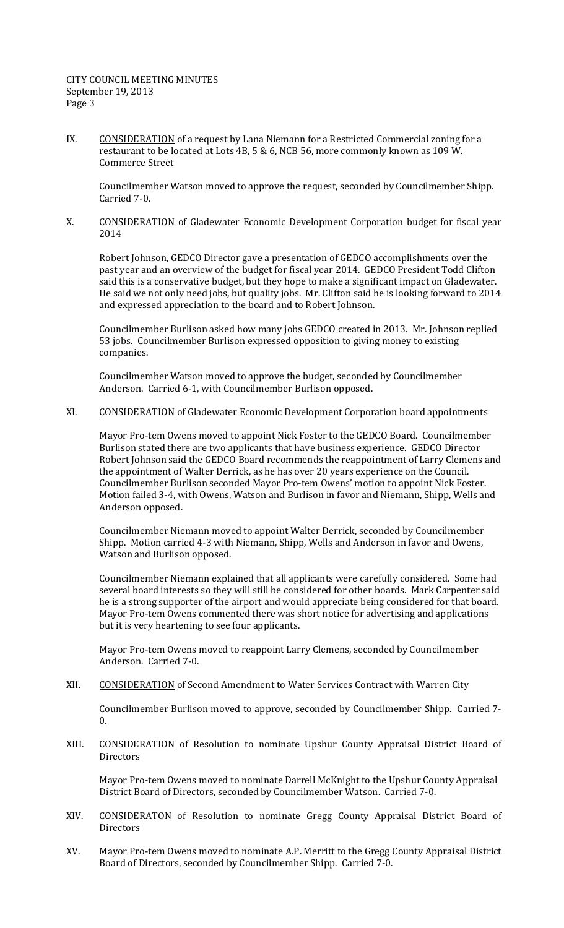# CITY COUNCIL MEETING MINUTES September 19, 2013 Page 3

IX. CONSIDERATION of a request by Lana Niemann for a Restricted Commercial zoning for a restaurant to be located at Lots  $4B$ , 5 & 6, NCB 56, more commonly known as 109 W. Commerce Street 

Councilmember Watson moved to approve the request, seconded by Councilmember Shipp. Carried 7-0.

X. CONSIDERATION of Gladewater Economic Development Corporation budget for fiscal year 2014 

Robert Johnson, GEDCO Director gave a presentation of GEDCO accomplishments over the past year and an overview of the budget for fiscal year 2014. GEDCO President Todd Clifton said this is a conservative budget, but they hope to make a significant impact on Gladewater. He said we not only need jobs, but quality jobs. Mr. Clifton said he is looking forward to 2014 and expressed appreciation to the board and to Robert Johnson.

Councilmember Burlison asked how many jobs GEDCO created in 2013. Mr. Johnson replied 53 jobs. Councilmember Burlison expressed opposition to giving money to existing companies. 

Councilmember Watson moved to approve the budget, seconded by Councilmember Anderson. Carried 6-1, with Councilmember Burlison opposed.

XI. CONSIDERATION of Gladewater Economic Development Corporation board appointments

Mayor Pro-tem Owens moved to appoint Nick Foster to the GEDCO Board. Councilmember Burlison stated there are two applicants that have business experience. GEDCO Director Robert Johnson said the GEDCO Board recommends the reappointment of Larry Clemens and the appointment of Walter Derrick, as he has over 20 years experience on the Council. Councilmember Burlison seconded Mayor Pro-tem Owens' motion to appoint Nick Foster. Motion failed 3-4, with Owens, Watson and Burlison in favor and Niemann, Shipp, Wells and Anderson opposed.

Councilmember Niemann moved to appoint Walter Derrick, seconded by Councilmember Shipp. Motion carried 4-3 with Niemann, Shipp, Wells and Anderson in favor and Owens, Watson and Burlison opposed.

Councilmember Niemann explained that all applicants were carefully considered. Some had several board interests so they will still be considered for other boards. Mark Carpenter said he is a strong supporter of the airport and would appreciate being considered for that board. Mayor Pro-tem Owens commented there was short notice for advertising and applications but it is very heartening to see four applicants.

Mayor Pro-tem Owens moved to reappoint Larry Clemens, seconded by Councilmember Anderson. Carried 7-0.

XII. CONSIDERATION of Second Amendment to Water Services Contract with Warren City

Councilmember Burlison moved to approve, seconded by Councilmember Shipp. Carried 7-0. 

XIII. CONSIDERATION of Resolution to nominate Upshur County Appraisal District Board of **Directors** 

Mayor Pro-tem Owens moved to nominate Darrell McKnight to the Upshur County Appraisal District Board of Directors, seconded by Councilmember Watson. Carried 7-0.

- XIV. CONSIDERATON of Resolution to nominate Gregg County Appraisal District Board of **Directors**
- XV. Mayor Pro-tem Owens moved to nominate A.P. Merritt to the Gregg County Appraisal District Board of Directors, seconded by Councilmember Shipp. Carried 7-0.